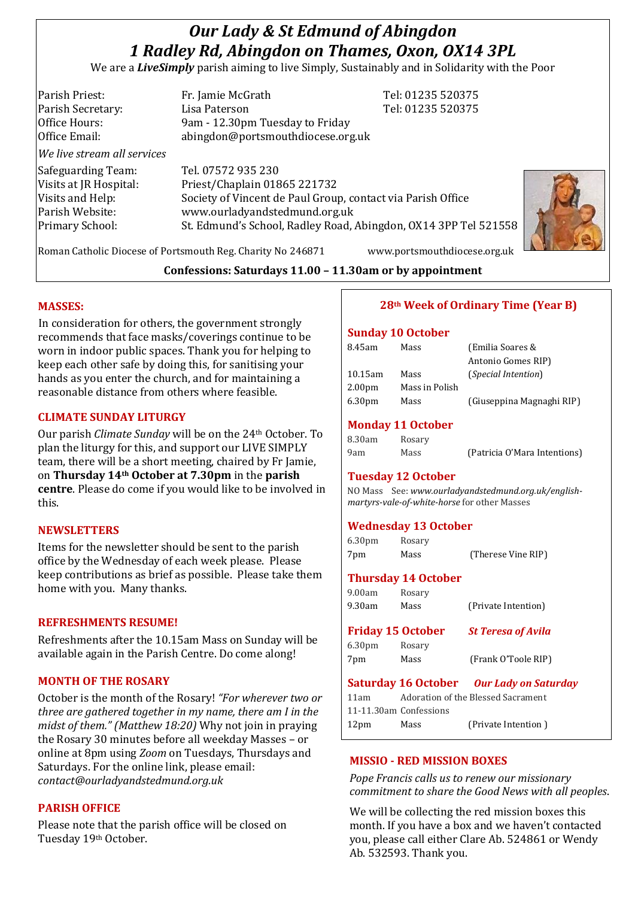# *Our Lady & St Edmund of Abingdon 1 Radley Rd, Abingdon on Thames, Oxon, OX14 3PL*

We are a *LiveSimply* parish aiming to live Simply, Sustainably and in Solidarity with the Poor

| Parish Priest:<br>Parish Secretary: | Fr. Jamie McGrath<br>Lisa Paterson                              | Tel: 01235 520375<br>Tel: 01235 520375 |
|-------------------------------------|-----------------------------------------------------------------|----------------------------------------|
| Office Hours:                       | 9am - 12.30pm Tuesday to Friday                                 |                                        |
| Office Email:                       | abingdon@portsmouthdiocese.org.uk                               |                                        |
| We live stream all services         |                                                                 |                                        |
| Safeguarding Team:                  | Tel. 07572 935 230                                              |                                        |
| Visits at JR Hospital:              | Priest/Chaplain 01865 221732                                    |                                        |
| Visits and Help:                    | Society of Vincent de Paul Group, contact via Parish Office     |                                        |
| Parish Website:                     | www.ourladyandstedmund.org.uk                                   |                                        |
| Primary School:                     | St. Edmund's School, Radley Road, Abingdon, OX14 3PP Tel 521558 |                                        |
|                                     |                                                                 |                                        |



Roman Catholic Diocese of Portsmouth Reg. Charity No 246871 www.portsmouthdiocese.org.uk

**Confessions: Saturdays 11.00 – 11.30am or by appointment**

#### **MASSES:**

In consideration for others, the government strongly recommends that face masks/coverings continue to be worn in indoor public spaces. Thank you for helping to keep each other safe by doing this, for sanitising your hands as you enter the church, and for maintaining a reasonable distance from others where feasible.

## **CLIMATE SUNDAY LITURGY**

Our parish *Climate Sunday* will be on the 24th October. To plan the liturgy for this, and support our LIVE SIMPLY team, there will be a short meeting, chaired by Fr Jamie, on **Thursday 14th October at 7.30pm** in the **parish centre**. Please do come if you would like to be involved in this.

#### **NEWSLETTERS**

Items for the newsletter should be sent to the parish office by the Wednesday of each week please. Please keep contributions as brief as possible. Please take them home with you. Many thanks.

#### **REFRESHMENTS RESUME!**

Refreshments after the 10.15am Mass on Sunday will be available again in the Parish Centre. Do come along!

## **MONTH OF THE ROSARY**

October is the month of the Rosary! *"For wherever two or three are gathered together in my name, there am I in the midst of them." (Matthew 18:20)* Why not join in praying the Rosary 30 minutes before all weekday Masses – or online at 8pm using *Zoom* on Tuesdays, Thursdays and Saturdays. For the online link, please email: *contact@ourladyandstedmund.org.uk*

## **PARISH OFFICE**

Please note that the parish office will be closed on Tuesday 19th October.

# **28th Week of Ordinary Time (Year B)**

#### **Sunday 10 October**

| 8.45am             | Mass           | (Emilia Soares &           |
|--------------------|----------------|----------------------------|
|                    |                | Antonio Gomes RIP)         |
| $10.15$ am         | Mass           | <i>(Special Intention)</i> |
| 2.00 <sub>pm</sub> | Mass in Polish |                            |
| 6.30 <sub>pm</sub> | Mass           | (Giuseppina Magnaghi RIP)  |

# **Monday 11 October**

| 8.30am | Rosary |                              |
|--------|--------|------------------------------|
| 9am    | Mass   | (Patricia O'Mara Intentions) |

#### **Tuesday 12 October**

NO Mass See: *www.ourladyandstedmund.org.uk/englishmartyrs-vale-of-white-horse* for other Masses

## **Wednesday 13 October**

| 6.30 <sub>pm</sub> | Rosary |                    |
|--------------------|--------|--------------------|
| 7pm                | Mass   | (Therese Vine RIP) |

#### **Thursday 14 October**

9.00am Rosary

| 9.30am | Mass                     | (Private Intention)       |
|--------|--------------------------|---------------------------|
|        | <b>Friday 15 October</b> | <b>St Teresa of Avila</b> |

6.30pm Rosary 7pm Mass (Frank O'Toole RIP)

## **Saturday 16 October** *Our Lady on Saturday*

| 11am |                        | Adoration of the Blessed Sacrament |
|------|------------------------|------------------------------------|
|      | 11-11.30am Confessions |                                    |
| 12pm | Mass                   | (Private Intention)                |

## **MISSIO - RED MISSION BOXES**

*Pope Francis calls us to renew our missionary commitment to share the Good News with all peoples*.

We will be collecting the red mission boxes this month. If you have a box and we haven't contacted you, please call either Clare Ab. 524861 or Wendy Ab. 532593. Thank you.